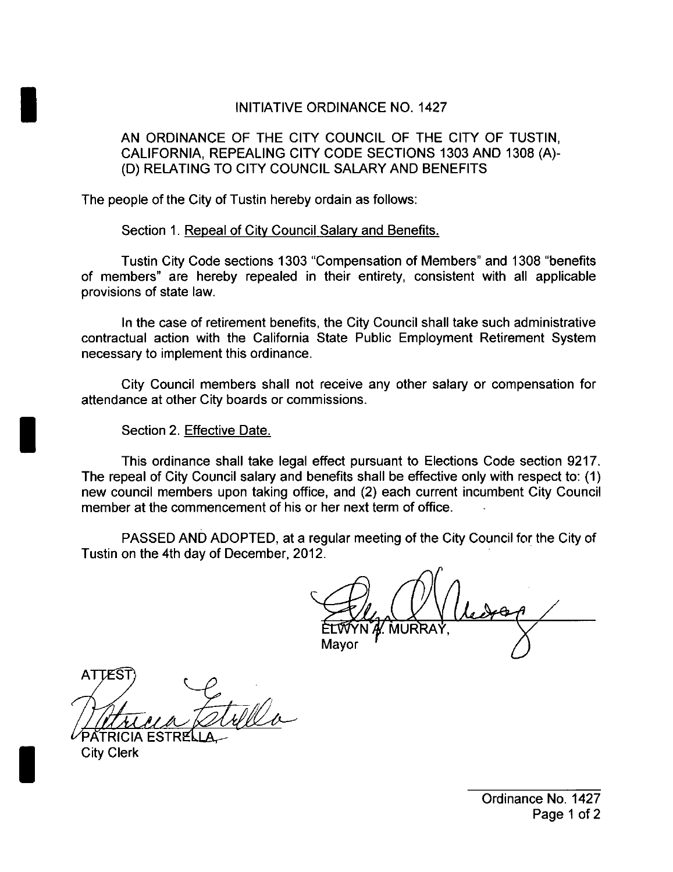## INITIATIVE ORDINANCE NO. 1427

## AN ORDINANCE OF THE CITY COUNCIL OF THE CITY OF TUSTIN, CALIFORNIA, REPEALING CITY CODE SECTIONS 1303 AND 1308 (A)-D) RELATING TO CITY COUNCIL SALARY AND BENEFITS

The people of the City of Tustin hereby ordain as follows:

Section 1. Repeal of City Council Salary and Benefits.

Tustin City Code sections 1303 "Compensation of Members" and 1308 " benefits of members' are hereby repealed in their entirety, consistent with all applicable provisions of state law.

In the case of retirement benefits, the City Council shall take such administrative contractual action with the California State Public Employment Retirement System necessary to implement this ordinance.

City Council members shall not receive any other salary or compensation for attendance at other City boards or commissions.

Section 2. Effective Date.

This ordinance shall take legal effect pursuant to Elections Code section 9217. The repeal of City Council salary and benefits shall be effective only with respect to: ( 1) new council members upon taking office, and (2) each current incumbent City Council member at the commencement of his or her next term of office.

PASSED AND ADOPTED, at a regular meeting of the City Council for the City of Tustin on the 4th day of December, 2012.

Mavor

**ATTEST** 

PATRICIA ESTRE City Clerk